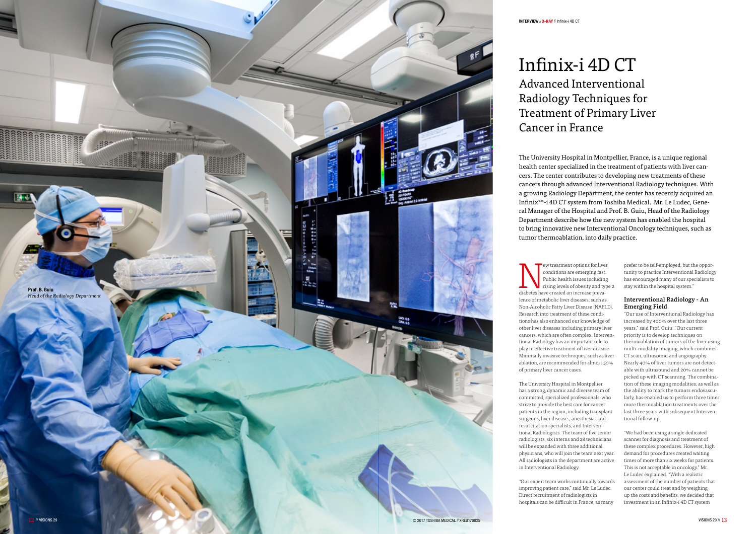

The University Hospital in Montpellier, France, is a unique regional health center specialized in the treatment of patients with liver can cers. The center contributes to developing new treatments of these cancers through advanced Interventional Radiology techniques. With a growing Radiology Department, the center has recently acquired an Infinix™-i 4D CT system from Toshiba Medical. Mr. Le Ludec, Gene ral Manager of the Hospital and Prof. B. Guiu, Head of the Radiology Department describe how the new system has enabled the hospital to bring innovative new Interventional Oncology techniques, such as tumor thermoablation, into daily practice.

Express the treatment options for liver<br>  $\sum_{\text{condition}}$  are emerging fast.<br>  $\sum_{\text{rising levels of obesity and typ}}$ <br>
and typ<br>
diabetes have created an increase prevaconditions are emerging fast. Public health issues including rising levels of obesity and type 2 diabetes have created an increase preva lence of metabolic liver diseases, such as Non-Alcoholic Fatty Liver Disease (NAFLD). Research into treatment of these condi tions has also enhanced our knowledge of other liver diseases including primary liver cancers, which are often complex. Interven tional Radiology has an important role to play in effective treatment of liver disease. Minimally invasive techniques, such as liver ablation, are recommended for almost 50% of primary liver cancer cases.

The University Hospital in Montpellier has a strong, dynamic and diverse team of committed, specialized professionals, who strive to provide the best care for cancer patients in the region, including transplant surgeons, liver disease-, anesthesia- and resuscitation specialists, and Interven tional Radiologists. The team of five senior radiologists, six interns and 28 technicians will be expanded with three additional physicians, who will join the team next year. All radiologists in the department are active in Interventional Radiology.

# Infinix-i 4D CT Advanced Interventional Radiology Techniques for Treatment of Primary Liver Cancer in France

"Our expert team works continually towards improving patient care," said Mr. Le Ludec. Direct recruitment of radiologists in hospitals can be difficult in France, as many

prefer to be self-employed, but the oppor tunity to practice Interventional Radiology has encouraged many of our specialists to stay within the hospital system."

# Interventional Radiology - An Emerging Field

"Our use of Interventional Radiology has increased by 400% over the last three years," said Prof. Guiu. "Our current priority is to develop techniques on thermoablation of tumors of the liver using multi-modality imaging, which combines CT scan, ultrasound and angiography. Nearly 40% of liver tumors are not detect able with ultrasound and 20% cannot be picked up with CT scanning. The combina tion of these imaging modalities, as well as the ability to mark the tumors endovascu larly, has enabled us to perform three times more thermoablation treatments over the last three years with subsequent Interven tional follow-up.

"We had been using a single dedicated scanner for diagnosis and treatment of these complex procedures. However, high demand for procedures created waiting times of more than six weeks for patients. This is not acceptable in oncology." Mr. Le Ludec explained. "With a realistic assessment of the number of patients that our center could treat and by weighing up the costs and benefits, we decided that investment in an Infinix-i 4D CT system

#### INTERVIEW // X-RAY // Infinix-i 4D CT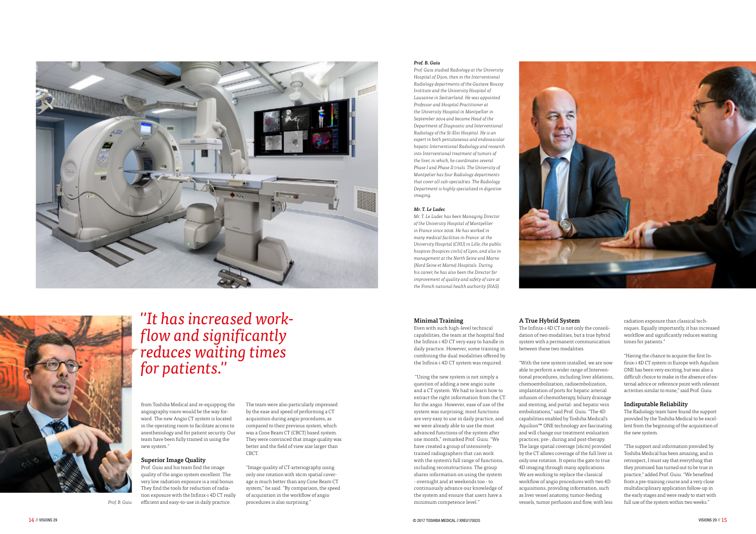



# *''It has increased workflow and significantly reduces waiting times for patients.''*

*Prof. B. Guiu*

from Toshiba Medical and re-equipping the angiography room would be the way forward. The new Angio CT system is located in the operating room to facilitate access to anesthesiology and for patient security. Our team have been fully trained in using the new system."

# Superior Image Quality

Prof. Guiu and his team find the image quality of the angio system excellent. The very low radiation exposure is a real bonus. They find the tools for reduction of radiation exposure with the Infinix-i 4D CT really efficient and easy-to-use in daily practice.

The team were also particularly impressed by the ease and speed of performing a CT acquisition during angio procedures, as compared to their previous system, which was a Cone Beam CT (CBCT) based system. They were convinced that image quality was better and the field of view size larger than CBCT.

"Image quality of CT-arteriography using only one rotation with 16cm spatial coverage is much better than any Cone Beam CT system," he said. "By comparison, the speed of acquisition in the workflow of angio procedures is also surprising."

## *Prof. B. Guiu*

*Prof. Guiu studied Radiology at the University Hospital of Dijon, then in the Interventional Radiology departments of the Gustave Roussy Institute and the University Hospital of Lausanne in Switzerland. He was appointed Professor and Hospital Practitioner at the University Hospital in Montpellier in September 2014 and became Head of the Department of Diagnostic and Interventional Radiology of the St-Eloi Hospital. He is an expert in both percutaneous and endovascular hepatic Interventional Radiology and research into Interventional treatment of tumors of the liver, in which, he coordinates several Phase I and Phase II trials. The University of Montpelier has four Radiology departments that cover all sub-specialties. The Radiology Department is highly specialized in digestive imaging.*

#### *Mr. T. Le Ludec*

*Mr. T. Le Ludec has been Managing Director of the University Hospital of Montpellier in France since 2016. He has worked in many medical facilities in France: at the University Hospital (CHU) in Lille, the public hospices (hospices civils) of Lyon, and also in management at the North Seine and Marne (Nord Seine et Marne) Hospitals. During his career, he has also been the Director for improvement of quality and safety of care at the French national health authority (HAS).*



### Minimal Training

Even with such high-level technical capabilities, the team at the hospital find the Infinix-i 4D CT very easy to handle in daily practice. However, some training in combining the dual modalities offered by the Infinix-i 4D CT system was required.

 "Using the new system is not simply a question of adding a new angio suite and a CT system. We had to learn how to extract the right information from the CT for the angio. However, ease of use of the system was surprising; most functions are very easy to use in daily practice, and we were already able to use the most advanced functions of the system after one month," remarked Prof. Guiu. "We have created a group of intensivelytrained radiographers that can work with the system's full range of functions, including reconstructions. The group shares information on using the system - overnight and at weekends too - to continuously advance our knowledge of the system and ensure that users have a minimum competence level."

# A True Hybrid System

The Infinix-i 4D CT is not only the consolidation of two modalities, but a true hybrid system with a permanent communication between these two modalities.

"With the new system installed, we are now able to perform a wider range of Interventional procedures, including liver ablations, chemoembolization, radioembolization, implantation of ports for hepatic arterial infusion of chemotherapy, biliary drainage and stenting, and portal- and hepatic vein embolizations," said Prof. Guiu. "The 4D capabilities enabled by Toshiba Medical's Aquilion™ ONE technology are fascinating and will change our treatment evaluation practices; pre-, during and post-therapy. The large spatial coverage (16cm) provided by the CT allows coverage of the full liver in only one rotation. It opens the gate to true 4D imaging through many applications. We are working to replace the classical workflow of angio procedures with two 4D acquisitions, providing information, such as liver vessel anatomy, tumor-feeding vessels, tumor perfusion and flow, with less

radiation exposure than classical techniques. Equally importantly, it has increased workflow and significantly reduces waiting times for patients."

"Having the chance to acquire the first Infinix-i 4D CT system in Europe with Aquilion ONE has been very exciting, but was also a difficult choice to make in the absence of external advice or reference point with relevant activities similar to mine," said Prof. Guiu.

## Indisputable Reliability

The Radiology team have found the support provided by the Toshiba Medical to be excellent from the beginning of the acquisition of the new system.

"The support and information provided by Toshiba Medical has been amazing, and in retrospect, I must say that everything that they promised has turned out to be true in practice," added Prof. Guiu. "We benefited from a pre-training course and a very close multidisciplinary application follow-up in the early stages and were ready to start with full use of the system within two weeks."